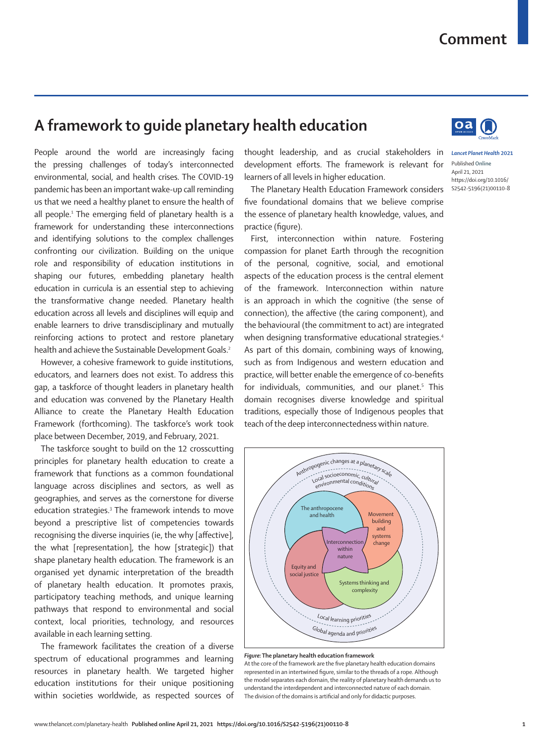## **Comment**

## **A framework to guide planetary health education**

People around the world are increasingly facing the pressing challenges of today's interconnected environmental, social, and health crises. The COVID-19 pandemic has been an important wake-up call reminding us that we need a healthy planet to ensure the health of all people.1 The emerging field of planetary health is a framework for understanding these interconnections and identifying solutions to the complex challenges confronting our civilization. Building on the unique role and responsibility of education institutions in shaping our futures, embedding planetary health education in curricula is an essential step to achieving the transformative change needed. Planetary health education across all levels and disciplines will equip and enable learners to drive transdisciplinary and mutually reinforcing actions to protect and restore planetary health and achieve the Sustainable Development Goals.<sup>2</sup>

However, a cohesive framework to guide institutions, educators, and learners does not exist. To address this gap, a taskforce of thought leaders in planetary health and education was convened by the Planetary Health Alliance to create the Planetary Health Education Framework (forthcoming). The taskforce's work took place between December, 2019, and February, 2021.

The taskforce sought to build on the 12 crosscutting principles for planetary health education to create a framework that functions as a common foundational language across disciplines and sectors, as well as geographies, and serves as the cornerstone for diverse education strategies.<sup>3</sup> The framework intends to move beyond a prescriptive list of competencies towards recognising the diverse inquiries (ie, the why [affective], the what [representation], the how [strategic]) that shape planetary health education. The framework is an organised yet dynamic interpretation of the breadth of planetary health education. It promotes praxis, participatory teaching methods, and unique learning pathways that respond to environmental and social context, local priorities, technology, and resources available in each learning setting.

The framework facilitates the creation of a diverse spectrum of educational programmes and learning resources in planetary health. We targeted higher education institutions for their unique positioning within societies worldwide, as respected sources of

thought leadership, and as crucial stakeholders in *Lancet Planet Health* **2021** development efforts. The framework is relevant for learners of all levels in higher education.

The Planetary Health Education Framework considers five foundational domains that we believe comprise the essence of planetary health knowledge, values, and practice (figure).

First, interconnection within nature. Fostering compassion for planet Earth through the recognition of the personal, cognitive, social, and emotional aspects of the education process is the central element of the framework. Interconnection within nature is an approach in which the cognitive (the sense of connection), the affective (the caring component), and the behavioural (the commitment to act) are integrated when designing transformative educational strategies.<sup>4</sup> As part of this domain, combining ways of knowing, such as from Indigenous and western education and practice, will better enable the emergence of co-benefits for individuals, communities, and our planet.<sup>5</sup> This domain recognises diverse knowledge and spiritual traditions, especially those of Indigenous peoples that teach of the deep interconnectedness within nature.



*Figure:* **The planetary health education framework**

At the core of the framework are the five planetary health education domains represented in an intertwined figure, similar to the threads of a rope. Although the model separates each domain, the reality of planetary health demands us to understand the interdependent and interconnected nature of each domain. The division of the domains is artificial and only for didactic purposes.



 $\alpha$ a

S2542-5196(21)00110-8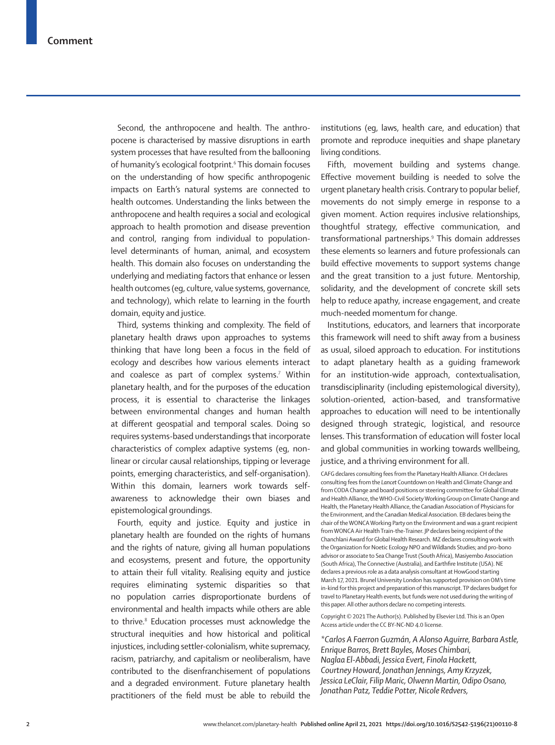Second, the anthropocene and health. The anthropocene is characterised by massive disruptions in earth system processes that have resulted from the ballooning of humanity's ecological footprint.<sup>6</sup> This domain focuses on the understanding of how specific anthropogenic impacts on Earth's natural systems are connected to health outcomes. Understanding the links between the anthropocene and health requires a social and ecological approach to health promotion and disease prevention and control, ranging from individual to populationlevel determinants of human, animal, and ecosystem health. This domain also focuses on understanding the underlying and mediating factors that enhance or lessen health outcomes (eg, culture, value systems, governance, and technology), which relate to learning in the fourth domain, equity and justice.

Third, systems thinking and complexity. The field of planetary health draws upon approaches to systems thinking that have long been a focus in the field of ecology and describes how various elements interact and coalesce as part of complex systems.<sup>7</sup> Within planetary health, and for the purposes of the education process, it is essential to characterise the linkages between environmental changes and human health at different geospatial and temporal scales. Doing so requires systems-based understandings that incorporate characteristics of complex adaptive systems (eg, nonlinear or circular causal relationships, tipping or leverage points, emerging characteristics, and self-organisation). Within this domain, learners work towards selfawareness to acknowledge their own biases and epistemological groundings.

Fourth, equity and justice. Equity and justice in planetary health are founded on the rights of humans and the rights of nature, giving all human populations and ecosystems, present and future, the opportunity to attain their full vitality. Realising equity and justice requires eliminating systemic disparities so that no population carries disproportionate burdens of environmental and health impacts while others are able to thrive.<sup>8</sup> Education processes must acknowledge the structural inequities and how historical and political injustices, including settler-colonialism, white supremacy, racism, patriarchy, and capitalism or neoliberalism, have contributed to the disenfranchisement of populations and a degraded environment. Future planetary health practitioners of the field must be able to rebuild the

institutions (eg, laws, health care, and education) that promote and reproduce inequities and shape planetary living conditions.

Fifth, movement building and systems change. Effective movement building is needed to solve the urgent planetary health crisis. Contrary to popular belief, movements do not simply emerge in response to a given moment. Action requires inclusive relationships, thoughtful strategy, effective communication, and transformational partnerships.9 This domain addresses these elements so learners and future professionals can build effective movements to support systems change and the great transition to a just future. Mentorship, solidarity, and the development of concrete skill sets help to reduce apathy, increase engagement, and create much-needed momentum for change.

Institutions, educators, and learners that incorporate this framework will need to shift away from a business as usual, siloed approach to education. For institutions to adapt planetary health as a guiding framework for an institution-wide approach, contextualisation, transdisciplinarity (including epistemological diversity), solution-oriented, action-based, and transformative approaches to education will need to be intentionally designed through strategic, logistical, and resource lenses. This transformation of education will foster local and global communities in working towards wellbeing, justice, and a thriving environment for all.

CAFG declares consulting fees from the Planetary Health Alliance. CH declares consulting fees from the *Lancet* Countdown on Health and Climate Change and from CODA Change and board positions or steering committee for Global Climate and Health Alliance, the WHO-Civil Society Working Group on Climate Change and Health, the Planetary Health Alliance, the Canadian Association of Physicians for the Environment, and the Canadian Medical Association. EB declares being the chair of the WONCA Working Party on the Environment and was a grant recipient from WONCA Air Health Train-the-Trainer. JP declares being recipient of the Chanchlani Award for Global Health Research. MZ declares consulting work with the Organization for Noetic Ecology NPO and Wildlands Studies; and pro-bono advisor or associate to Sea Change Trust (South Africa), Masiyembo Association (South Africa), The Connective (Australia), and Earthfire Institute (USA). NE declares a previous role as a data analysis consultant at HowGood starting March 17, 2021. Brunel University London has supported provision on OM's time in-kind for this project and preparation of this manuscript. TP declares budget for travel to Planetary Health events, but funds were not used during the writing of this paper. All other authors declare no competing interests.

Copyright © 2021 The Author(s). Published by Elsevier Ltd. This is an Open Access article under the CC BY-NC-ND 4.0 license.

*\*Carlos A Faerron Guzmán, A Alonso Aguirre, Barbara Astle, Enrique Barros, Brett Bayles, Moses Chimbari, Naglaa El-Abbadi, Jessica Evert, Finola Hackett, Courtney Howard, Jonathan Jennings, Amy Krzyzek, Jessica LeClair, Filip Maric, Olwenn Martin, Odipo Osano, Jonathan Patz, Teddie Potter, Nicole Redvers,*